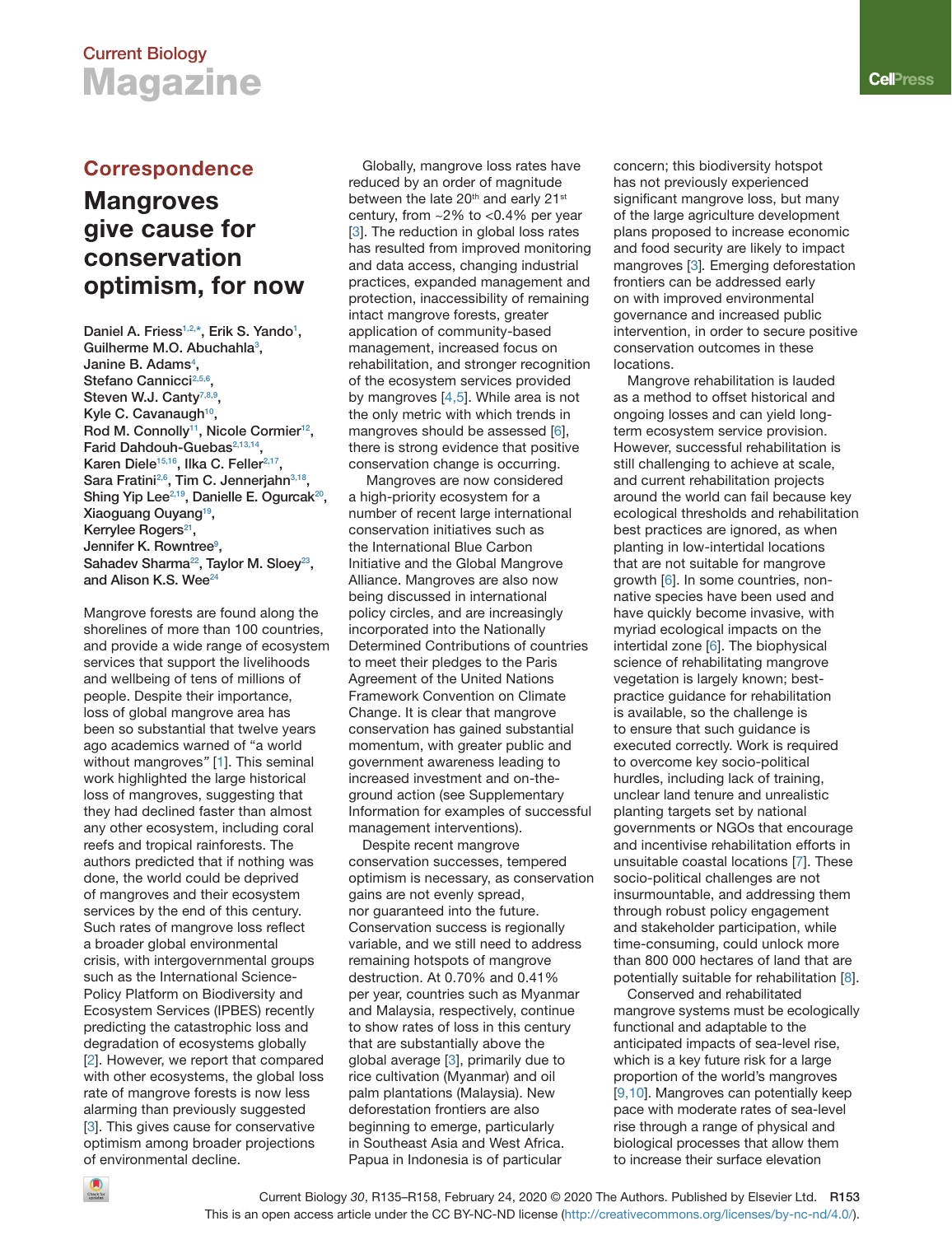# **Current Biology Magazine**

# **Mangroves give cause for conservation optimism, for now**

**Daniel A. Friess[1,2,\\*,](#page-1-0) Erik S. Yando1 [,](#page-1-0)  Guilherme M.O. Abuchahl[a3](#page-1-0) , Janine B. Adam[s4](#page-1-0) ,**  Stefano Cannicci<sup>2,5,6</sup>, **Steven W.J. Cant[y7,8,9,](#page-1-0) Kyle C. Cavanaugh[10,](#page-1-0) Rod M. Connolly[11](#page-1-0), Nicole Cormier12, Farid Dahdouh-Guebas[2,13,14,](#page-1-0) Karen Diele[15,16](#page-1-0), Ilka C. Feller[2,17,](#page-1-0) Sara Fratin[i2,6,](#page-1-0) Tim C. Jennerjah[n3,18,](#page-1-0)**  Shing Yip Lee<sup>2,19</sup>, Danielle E. Ogurcak<sup>20</sup>, **Xiaoguang Ouyang[19,](#page-1-0) Kerrylee Roger[s21](#page-1-0), Jennifer K. Rowntre[e9](#page-1-0) , Sahadev Sharma[22,](#page-1-0) Taylor M. Sloe[y23,](#page-1-0) and Alison K.S. We[e24](#page-1-0)**

Mangrove forests are found along the shorelines of more than 100 countries, and provide a wide range of ecosystem services that support the livelihoods and wellbeing of tens of millions of people. Despite their importance, loss of global mangrove area has been so substantial that twelve years ago academics warned of "a world without mangroves*"* [\[1](#page-1-0)]. This seminal work highlighted the large historical loss of mangroves, suggesting that they had declined faster than almost any other ecosystem, including coral reefs and tropical rainforests. The authors predicted that if nothing was done, the world could be deprived of mangroves and their ecosystem services by the end of this century. Such rates of mangrove loss reflect a broader global environmental crisis, with intergovernmental groups such as the International Science-Policy Platform on Biodiversity and Ecosystem Services (IPBES) recently predicting the catastrophic loss and degradation of ecosystems globally [\[2](#page-1-0)]. However, we report that compared with other ecosystems, the global loss rate of mangrove forests is now less alarming than previously suggested [\[3](#page-1-0)]. This gives cause for conservative optimism among broader projections of environmental decline.

Correspondence Globally, mangrove loss rates have reduced by an order of magnitude between the late 20<sup>th</sup> and early 21<sup>st</sup> century, from ~2% to <0.4% per year [3]. The reduction in global loss rates has resulted from improved monitoring and data access, changing industrial practices, expanded management and protection, inaccessibility of remaining intact mangrove forests, greater application of community-based management, increased focus on rehabilitation, and stronger recognition of the ecosystem services provided by mangroves [\[4,5](#page-1-0)]. While area is not the only metric with which trends in mangroves should be assessed [\[6](#page-1-0)], there is strong evidence that positive conservation change is occurring.

 Mangroves are now considered a high-priority ecosystem for a number of recent large international conservation initiatives such as the International Blue Carbon Initiative and the Global Mangrove Alliance. Mangroves are also now being discussed in international policy circles, and are increasingly incorporated into the Nationally Determined Contributions of countries to meet their pledges to the Paris Agreement of the United Nations Framework Convention on Climate Change. It is clear that mangrove conservation has gained substantial momentum, with greater public and government awareness leading to increased investment and on-theground action (see Supplementary Information for examples of successful management interventions).

Despite recent mangrove conservation successes, tempered optimism is necessary, as conservation gains are not evenly spread, nor guaranteed into the future. Conservation success is regionally variable, and we still need to address remaining hotspots of mangrove destruction. At 0.70% and 0.41% per year, countries such as Myanmar and Malaysia, respectively, continue to show rates of loss in this century that are substantially above the global average [\[3](#page-1-0)], primarily due to rice cultivation (Myanmar) and oil palm plantations (Malaysia). New deforestation frontiers are also beginning to emerge, particularly in Southeast Asia and West Africa. Papua in Indonesia is of particular

concern; this biodiversity hotspot has not previously experienced significant mangrove loss, but many of the large agriculture development plans proposed to increase economic and food security are likely to impact mangroves [[3\]](#page-1-0)*.* Emerging deforestation frontiers can be addressed early on with improved environmental governance and increased public intervention, in order to secure positive conservation outcomes in these locations.

Mangrove rehabilitation is lauded as a method to offset historical and ongoing losses and can yield longterm ecosystem service provision. However, successful rehabilitation is still challenging to achieve at scale, and current rehabilitation projects around the world can fail because key ecological thresholds and rehabilitation best practices are ignored, as when planting in low-intertidal locations that are not suitable for mangrove growth [\[6](#page-1-0)]. In some countries, nonnative species have been used and have quickly become invasive, with myriad ecological impacts on the intertidal zone [[6\]](#page-1-0). The biophysical science of rehabilitating mangrove vegetation is largely known; bestpractice guidance for rehabilitation is available, so the challenge is to ensure that such guidance is executed correctly. Work is required to overcome key socio-political hurdles, including lack of training, unclear land tenure and unrealistic planting targets set by national governments or NGOs that encourage and incentivise rehabilitation efforts in unsuitable coastal locations [\[7](#page-1-0)]. These socio-political challenges are not insurmountable, and addressing them through robust policy engagement and stakeholder participation, while time-consuming, could unlock more than 800 000 hectares of land that are potentially suitable for rehabilitation [\[8\]](#page-1-0).

Conserved and rehabilitated mangrove systems must be ecologically functional and adaptable to the anticipated impacts of sea-level rise, which is a key future risk for a large proportion of the world's mangroves [\[9](#page-1-0),[10](#page-1-0)]. Mangroves can potentially keep pace with moderate rates of sea-level rise through a range of physical and biological processes that allow them to increase their surface elevation

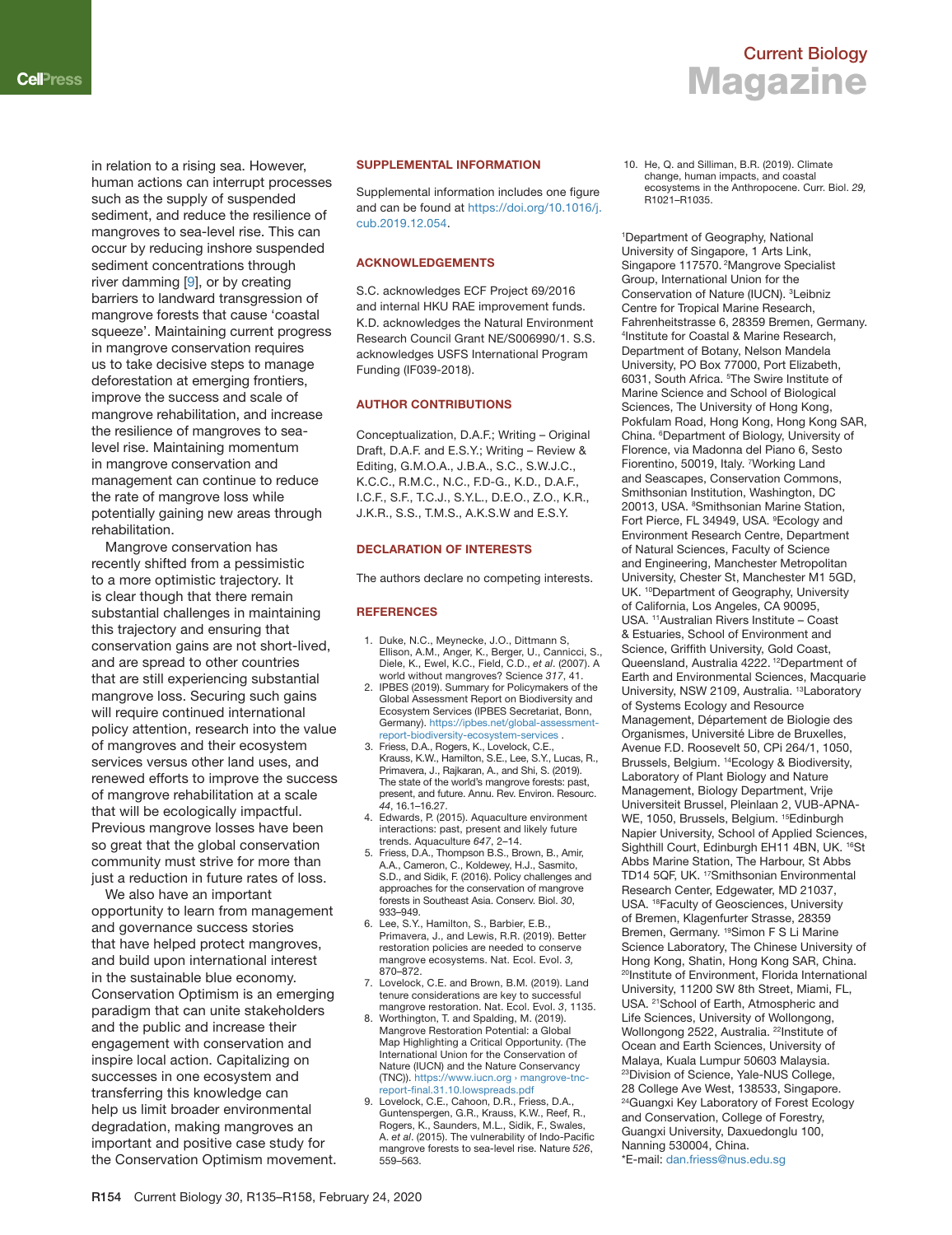<span id="page-1-0"></span>in relation to a rising sea. However, human actions can interrupt processes such as the supply of suspended sediment, and reduce the resilience of mangroves to sea-level rise. This can occur by reducing inshore suspended sediment concentrations through river damming [9], or by creating barriers to landward transgression of mangrove forests that cause 'coastal squeeze'. Maintaining current progress in mangrove conservation requires us to take decisive steps to manage deforestation at emerging frontiers, improve the success and scale of mangrove rehabilitation, and increase the resilience of mangroves to sealevel rise. Maintaining momentum in mangrove conservation and management can continue to reduce the rate of mangrove loss while potentially gaining new areas through rehabilitation.

Mangrove conservation has recently shifted from a pessimistic to a more optimistic trajectory. It is clear though that there remain substantial challenges in maintaining this trajectory and ensuring that conservation gains are not short-lived, and are spread to other countries that are still experiencing substantial mangrove loss. Securing such gains will require continued international policy attention, research into the value of mangroves and their ecosystem services versus other land uses, and renewed efforts to improve the success of mangrove rehabilitation at a scale that will be ecologically impactful. Previous mangrove losses have been so great that the global conservation community must strive for more than just a reduction in future rates of loss.

We also have an important opportunity to learn from management and governance success stories that have helped protect mangroves, and build upon international interest in the sustainable blue economy. Conservation Optimism is an emerging paradigm that can unite stakeholders and the public and increase their engagement with conservation and inspire local action. Capitalizing on successes in one ecosystem and transferring this knowledge can help us limit broader environmental degradation, making mangroves an important and positive case study for the Conservation Optimism movement.

### **SUPPLEMENTAL INFORMATION**

Supplemental information includes one figure and can be found at [https://doi.org/10.1016/j.](https://doi.org/10.1016/j.cub.2019.12.054) [cub.2019.12.054](https://doi.org/10.1016/j.cub.2019.12.054).

#### **ACKNOWLEDGEMENTS**

S.C. acknowledges ECF Project 69/2016 and internal HKU RAE improvement funds. K.D. acknowledges the Natural Environment Research Council Grant NE/S006990/1. S.S. acknowledges USFS International Program Funding (IF039-2018).

### **AUTHOR CONTRIBUTIONS**

Conceptualization, D.A.F.; Writing – Original Draft, D.A.F. and E.S.Y.; Writing – Review & Editing, G.M.O.A., J.B.A., S.C., S.W.J.C., K.C.C., R.M.C., N.C., F.D-G., K.D., D.A.F., I.C.F., S.F., T.C.J., S.Y.L., D.E.O., Z.O., K.R., J.K.R., S.S., T.M.S., A.K.S.W and E.S.Y.

### **DECLARATION OF INTERESTS**

The authors declare no competing interests.

#### **REFERENCES**

- 1. Duke, N.C., Meynecke, J.O., Dittmann S, Ellison, A.M., Anger, K., Berger, U., Cannicci, S., Diele, K., Ewel, K.C., Field, C.D., *et al*. (2007). A world without mangroves? Science *317*, 41.
- 2. IPBES (2019). Summary for Policymakers of the Global Assessment Report on Biodiversity and Ecosystem Services (IPBES Secretariat, Bonn, Germany). [https://ipbes.net/global-assessment](https://ipbes.net/global-assessment-report-biodiversity-ecosystem-services)[report-biodiversity-ecosystem-services .](https://ipbes.net/global-assessment-report-biodiversity-ecosystem-services)
- 3. Friess, D.A., Rogers, K., Lovelock, C.E., Krauss, K.W., Hamilton, S.E., Lee, S.Y., Lucas, R., Primavera, J., Rajkaran, A., and Shi, S. (2019). The state of the world's mangrove forests: past, present, and future. Annu. Rev. Environ. Resourc. *44*, 16.1–16.27.
- 4. Edwards, P. (2015). Aquaculture environment interactions: past, present and likely future trends. Aquaculture *647*, 2–14.
- 5. Friess, D.A., Thompson B.S., Brown, B., Amir, A.A., Cameron, C., Koldewey, H.J., Sasmito, S.D., and Sidik, F. (2016). Policy challenges and approaches for the conservation of mangrove forests in Southeast Asia. Conserv. Biol. *30*, 933–949.
- 6. Lee, S.Y., Hamilton, S., Barbier, E.B., Primavera, J., and Lewis, R.R. (2019). Better restoration policies are needed to conserve mangrove ecosystems. Nat. Ecol. Evol. *3,*  870–872.
- 7. Lovelock, C.E. and Brown, B.M. (2019). Land tenure considerations are key to successful mangrove restoration. Nat. Ecol. Evol. *3*, 1135.
- 8. Worthington, T. and Spalding, M. (2019). Mangrove Restoration Potential: a Global Map Highlighting a Critical Opportunity. (The International Union for the Conservation of Nature (IUCN) and the Nature Conservancy (TNC)). [https://www.iucn.org › mangrove-tnc](https://www.iucn.org%E2%80%BAmangrove-tncreport-fi%20nal.31.10.lowspreads.pdf)[report-fi nal.31.10.lowspreads.pdf](https://www.iucn.org%E2%80%BAmangrove-tncreport-fi%20nal.31.10.lowspreads.pdf)
- 9. Lovelock, C.E., Cahoon, D.R., Friess, D.A. Guntenspergen, G.R., Krauss, K.W., Reef, R., Rogers, K., Saunders, M.L., Sidik, F., Swales, A. et al. (2015). The vulnerability of Indo-Pacific mangrove forests to sea-level rise. Nature *526*, 559–563.

 10. He, Q. and Silliman, B.R. (2019). Climate change, human impacts, and coastal ecosystems in the Anthropocene. Curr. Biol. *29,*  R1021–R1035.

**Current Biology**

**Magazine**

1 Department of Geography, National University of Singapore, 1 Arts Link, Singapore 117570. 2Mangrove Specialist Group, International Union for the Conservation of Nature (IUCN). 3 Leibniz Centre for Tropical Marine Research, Fahrenheitstrasse 6, 28359 Bremen, Germany. 4 Institute for Coastal & Marine Research, Department of Botany, Nelson Mandela University, PO Box 77000, Port Elizabeth, 6031, South Africa. 5 The Swire Institute of Marine Science and School of Biological Sciences, The University of Hong Kong, Pokfulam Road, Hong Kong, Hong Kong SAR, China. 6 Department of Biology, University of Florence, via Madonna del Piano 6, Sesto Fiorentino, 50019, Italy. <sup>7</sup> Working Land and Seascapes, Conservation Commons, Smithsonian Institution, Washington, DC 20013, USA. <sup>8</sup>Smithsonian Marine Station, Fort Pierce, FL 34949, USA. <sup>9</sup> Ecology and Environment Research Centre, Department of Natural Sciences, Faculty of Science and Engineering, Manchester Metropolitan University, Chester St, Manchester M1 5GD, UK. <sup>10</sup>Department of Geography, University of California, Los Angeles, CA 90095, USA. 11Australian Rivers Institute – Coast & Estuaries, School of Environment and Science, Griffith University, Gold Coast, Queensland, Australia 4222.<sup>12</sup>Department of Earth and Environmental Sciences, Macquarie University, NSW 2109, Australia. 13Laboratory of Systems Ecology and Resource Management, Département de Biologie des Organismes, Université Libre de Bruxelles, Avenue F.D. Roosevelt 50, CPi 264/1, 1050, Brussels, Belgium. 14Ecology & Biodiversity, Laboratory of Plant Biology and Nature Management, Biology Department, Vrije Universiteit Brussel, Pleinlaan 2, VUB-APNA-WE, 1050, Brussels, Belgium. <sup>15</sup>Edinburgh Napier University, School of Applied Sciences, Sighthill Court, Edinburgh EH11 4BN, UK. <sup>16</sup>St Abbs Marine Station, The Harbour, St Abbs TD14 5QF, UK. 17Smithsonian Environmental Research Center, Edgewater, MD 21037, USA. 18Faculty of Geosciences, University of Bremen, Klagenfurter Strasse, 28359 Bremen, Germany. 19Simon F S Li Marine Science Laboratory, The Chinese University of Hong Kong, Shatin, Hong Kong SAR, China. 20Institute of Environment, Florida International University, 11200 SW 8th Street, Miami, FL, USA. <sup>21</sup>School of Earth, Atmospheric and Life Sciences, University of Wollongong, Wollongong 2522, Australia. <sup>22</sup>Institute of Ocean and Earth Sciences, University of Malaya, Kuala Lumpur 50603 Malaysia. 23Division of Science, Yale-NUS College, 28 College Ave West, 138533, Singapore. <sup>24</sup>Guangxi Key Laboratory of Forest Ecology and Conservation, College of Forestry, Guangxi University, Daxuedonglu 100, Nanning 530004, China. \*E-mail: [dan.friess@nus.edu.sg](mailto:dan.friess@nus.edu.sg)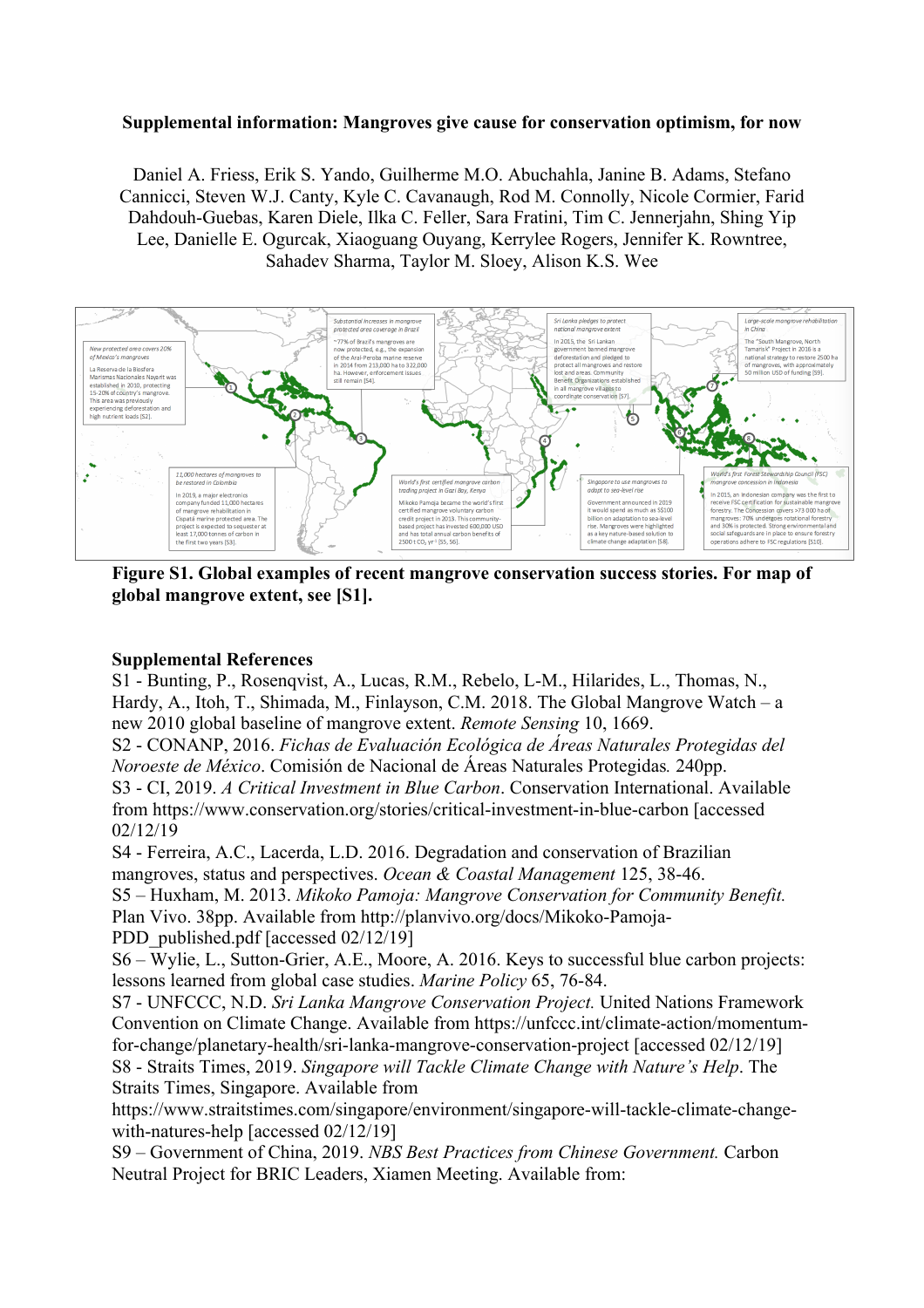## **Supplemental information: Mangroves give cause for conservation optimism, for now**

Daniel A. Friess, Erik S. Yando, Guilherme M.O. Abuchahla, Janine B. Adams, Stefano Cannicci, Steven W.J. Canty, Kyle C. Cavanaugh, Rod M. Connolly, Nicole Cormier, Farid Dahdouh-Guebas, Karen Diele, Ilka C. Feller, Sara Fratini, Tim C. Jennerjahn, Shing Yip Lee, Danielle E. Ogurcak, Xiaoguang Ouyang, Kerrylee Rogers, Jennifer K. Rowntree, Sahadev Sharma, Taylor M. Sloey, Alison K.S. Wee



**Figure S1. Global examples of recent mangrove conservation success stories. For map of global mangrove extent, see [S1].**

## **Supplemental References**

S1 - Bunting, P., Rosenqvist, A., Lucas, R.M., Rebelo, L-M., Hilarides, L., Thomas, N., Hardy, A., Itoh, T., Shimada, M., Finlayson, C.M. 2018. The Global Mangrove Watch – a new 2010 global baseline of mangrove extent. *Remote Sensing* 10, 1669.

S2 - CONANP, 2016. *Fichas de Evaluación Ecológica de Áreas Naturales Protegidas del Noroeste de México*. Comisión de Nacional de Áreas Naturales Protegidas*.* 240pp.

S3 - CI, 2019. *A Critical Investment in Blue Carbon*. Conservation International. Available from https://www.conservation.org/stories/critical-investment-in-blue-carbon [accessed 02/12/19

S4 - Ferreira, A.C., Lacerda, L.D. 2016. Degradation and conservation of Brazilian mangroves, status and perspectives. *Ocean & Coastal Management* 125, 38-46.

S5 – Huxham, M. 2013. *Mikoko Pamoja: Mangrove Conservation for Community Benefit.* 

Plan Vivo. 38pp. Available from http://planvivo.org/docs/Mikoko-Pamoja-

PDD\_published.pdf [accessed 02/12/19]

S6 – Wylie, L., Sutton-Grier, A.E., Moore, A. 2016. Keys to successful blue carbon projects: lessons learned from global case studies. *Marine Policy* 65, 76-84.

S7 - UNFCCC, N.D. *Sri Lanka Mangrove Conservation Project.* United Nations Framework Convention on Climate Change. Available from https://unfccc.int/climate-action/momentumfor-change/planetary-health/sri-lanka-mangrove-conservation-project [accessed 02/12/19] S8 - Straits Times, 2019. *Singapore will Tackle Climate Change with Nature's Help*. The Straits Times, Singapore. Available from

https://www.straitstimes.com/singapore/environment/singapore-will-tackle-climate-changewith-natures-help [accessed 02/12/19]

S9 – Government of China, 2019. *NBS Best Practices from Chinese Government.* Carbon Neutral Project for BRIC Leaders, Xiamen Meeting. Available from: